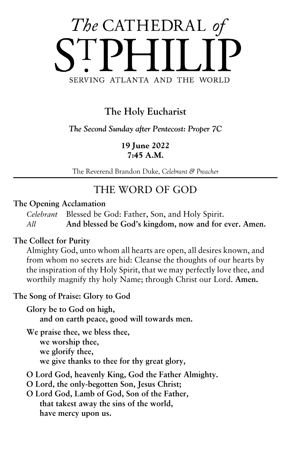

# **The Holy Eucharist**

*The Second Sunday after Pentecost: Proper 7C*

**19 June 2022 7:45 A.M.**

The Reverend Brandon Duke, *Celebrant & Preacher*

# THE WORD OF GOD

#### **The Opening Acclamation**

*Celebrant* Blessed be God: Father, Son, and Holy Spirit. *All* **And blessed be God's kingdom, now and for ever. Amen.**

#### **The Collect for Purity**

Almighty God, unto whom all hearts are open, all desires known, and from whom no secrets are hid: Cleanse the thoughts of our hearts by the inspiration of thy Holy Spirit, that we may perfectly love thee, and worthily magnify thy holy Name; through Christ our Lord. **Amen.**

#### **The Song of Praise: Glory to God**

**Glory be to God on high, and on earth peace, good will towards men.**

**We praise thee, we bless thee, we worship thee, we glorify thee, we give thanks to thee for thy great glory,**

- **O Lord God, heavenly King, God the Father Almighty.**
- **O Lord, the only-begotten Son, Jesus Christ;**
- **O Lord God, Lamb of God, Son of the Father, that takest away the sins of the world, have mercy upon us.**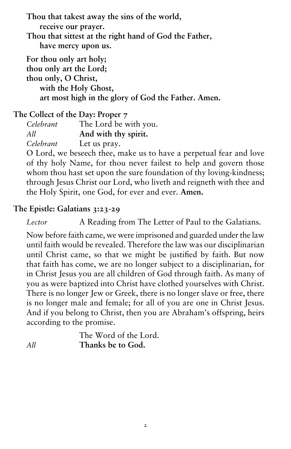**Thou that takest away the sins of the world,**

**receive our prayer.**

**Thou that sittest at the right hand of God the Father, have mercy upon us.**

**For thou only art holy; thou only art the Lord;**

**thou only, O Christ, with the Holy Ghost,**

**art most high in the glory of God the Father. Amen.**

**The Collect of the Day: Proper 7**

*Celebrant* The Lord be with you. *All* **And with thy spirit.** *Celebrant* Let us pray.

O Lord, we beseech thee, make us to have a perpetual fear and love

of thy holy Name, for thou never failest to help and govern those whom thou hast set upon the sure foundation of thy loving-kindness; through Jesus Christ our Lord, who liveth and reigneth with thee and the Holy Spirit, one God, for ever and ever. **Amen.**

# **The Epistle: Galatians 3:23-29**

*Lector* A Reading from The Letter of Paul to the Galatians.

Now before faith came, we were imprisoned and guarded under the law until faith would be revealed. Therefore the law was our disciplinarian until Christ came, so that we might be justified by faith. But now that faith has come, we are no longer subject to a disciplinarian, for in Christ Jesus you are all children of God through faith. As many of you as were baptized into Christ have clothed yourselves with Christ. There is no longer Jew or Greek, there is no longer slave or free, there is no longer male and female; for all of you are one in Christ Jesus. And if you belong to Christ, then you are Abraham's offspring, heirs according to the promise.

|     | The Word of the Lord. |
|-----|-----------------------|
| All | Thanks be to God.     |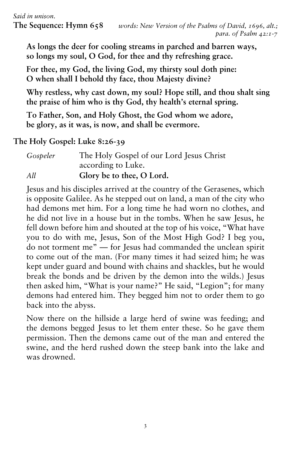**As longs the deer for cooling streams in parched and barren ways, so longs my soul, O God, for thee and thy refreshing grace.**

**For thee, my God, the living God, my thirsty soul doth pine: O when shall I behold thy face, thou Majesty divine?**

**Why restless, why cast down, my soul? Hope still, and thou shalt sing the praise of him who is thy God, thy health's eternal spring.**

**To Father, Son, and Holy Ghost, the God whom we adore, be glory, as it was, is now, and shall be evermore.**

## **The Holy Gospel: Luke 8:26-39**

| Gospeler | The Holy Gospel of our Lord Jesus Christ |
|----------|------------------------------------------|
|          | according to Luke.                       |
| All      | Glory be to thee, O Lord.                |

Jesus and his disciples arrived at the country of the Gerasenes, which is opposite Galilee. As he stepped out on land, a man of the city who had demons met him. For a long time he had worn no clothes, and he did not live in a house but in the tombs. When he saw Jesus, he fell down before him and shouted at the top of his voice, "What have you to do with me, Jesus, Son of the Most High God? I beg you, do not torment me" — for Jesus had commanded the unclean spirit to come out of the man. (For many times it had seized him; he was kept under guard and bound with chains and shackles, but he would break the bonds and be driven by the demon into the wilds.) Jesus then asked him, "What is your name?" He said, "Legion"; for many demons had entered him. They begged him not to order them to go back into the abyss.

Now there on the hillside a large herd of swine was feeding; and the demons begged Jesus to let them enter these. So he gave them permission. Then the demons came out of the man and entered the swine, and the herd rushed down the steep bank into the lake and was drowned.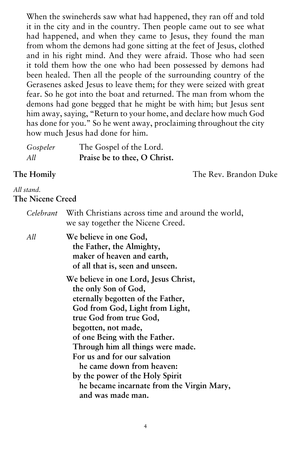When the swineherds saw what had happened, they ran off and told it in the city and in the country. Then people came out to see what had happened, and when they came to Jesus, they found the man from whom the demons had gone sitting at the feet of Jesus, clothed and in his right mind. And they were afraid. Those who had seen it told them how the one who had been possessed by demons had been healed. Then all the people of the surrounding country of the Gerasenes asked Jesus to leave them; for they were seized with great fear. So he got into the boat and returned. The man from whom the demons had gone begged that he might be with him; but Jesus sent him away, saying, "Return to your home, and declare how much God has done for you." So he went away, proclaiming throughout the city how much Jesus had done for him.

| Gospeler | The Gospel of the Lord.      |  |
|----------|------------------------------|--|
| All      | Praise be to thee, O Christ. |  |

**The Homily** The Rev. Brandon Duke

#### *All stand.* **The Nicene Creed**

| Celebrant | With Christians across time and around the world,<br>we say together the Nicene Creed.                                                                                                                                                                                                                                                                                                                                          |
|-----------|---------------------------------------------------------------------------------------------------------------------------------------------------------------------------------------------------------------------------------------------------------------------------------------------------------------------------------------------------------------------------------------------------------------------------------|
| All       | We believe in one God,<br>the Father, the Almighty,<br>maker of heaven and earth,<br>of all that is, seen and unseen.                                                                                                                                                                                                                                                                                                           |
|           | We believe in one Lord, Jesus Christ,<br>the only Son of God,<br>eternally begotten of the Father,<br>God from God, Light from Light,<br>true God from true God,<br>begotten, not made,<br>of one Being with the Father.<br>Through him all things were made.<br>For us and for our salvation<br>he came down from heaven:<br>by the power of the Holy Spirit<br>he became incarnate from the Virgin Mary,<br>and was made man. |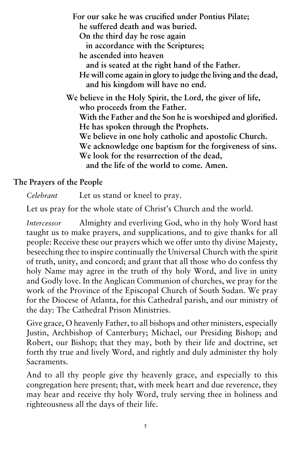**For our sake he was crucified under Pontius Pilate; he suffered death and was buried. On the third day he rose again in accordance with the Scriptures; he ascended into heaven and is seated at the right hand of the Father. He will come again in glory to judge the living and the dead, and his kingdom will have no end. We believe in the Holy Spirit, the Lord, the giver of life, who proceeds from the Father. With the Father and the Son he is worshiped and glorified. He has spoken through the Prophets. We believe in one holy catholic and apostolic Church. We acknowledge one baptism for the forgiveness of sins. We look for the resurrection of the dead, and the life of the world to come. Amen.**

#### **The Prayers of the People**

*Celebrant* Let us stand or kneel to pray.

Let us pray for the whole state of Christ's Church and the world.

*Intercessor* Almighty and everliving God, who in thy holy Word hast taught us to make prayers, and supplications, and to give thanks for all people: Receive these our prayers which we offer unto thy divine Majesty, beseeching thee to inspire continually the Universal Church with the spirit of truth, unity, and concord; and grant that all those who do confess thy holy Name may agree in the truth of thy holy Word, and live in unity and Godly love. In the Anglican Communion of churches, we pray for the work of the Province of the Episcopal Church of South Sudan. We pray for the Diocese of Atlanta, for this Cathedral parish, and our ministry of the day: The Cathedral Prison Ministries.

Give grace, O heavenly Father, to all bishops and other ministers, especially Justin, Archbishop of Canterbury; Michael, our Presiding Bishop; and Robert, our Bishop; that they may, both by their life and doctrine, set forth thy true and lively Word, and rightly and duly administer thy holy Sacraments.

And to all thy people give thy heavenly grace, and especially to this congregation here present; that, with meek heart and due reverence, they may hear and receive thy holy Word, truly serving thee in holiness and righteousness all the days of their life.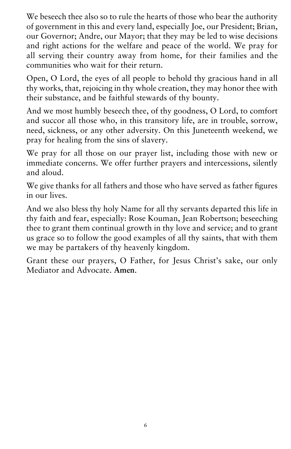We beseech thee also so to rule the hearts of those who bear the authority of government in this and every land, especially Joe, our President; Brian, our Governor; Andre, our Mayor; that they may be led to wise decisions and right actions for the welfare and peace of the world. We pray for all serving their country away from home, for their families and the communities who wait for their return.

Open, O Lord, the eyes of all people to behold thy gracious hand in all thy works, that, rejoicing in thy whole creation, they may honor thee with their substance, and be faithful stewards of thy bounty.

And we most humbly beseech thee, of thy goodness, O Lord, to comfort and succor all those who, in this transitory life, are in trouble, sorrow, need, sickness, or any other adversity. On this Juneteenth weekend, we pray for healing from the sins of slavery.

We pray for all those on our prayer list, including those with new or immediate concerns. We offer further prayers and intercessions, silently and aloud.

We give thanks for all fathers and those who have served as father figures in our lives.

And we also bless thy holy Name for all thy servants departed this life in thy faith and fear, especially: Rose Kouman, Jean Robertson; beseeching thee to grant them continual growth in thy love and service; and to grant us grace so to follow the good examples of all thy saints, that with them we may be partakers of thy heavenly kingdom.

Grant these our prayers, O Father, for Jesus Christ's sake, our only Mediator and Advocate. **Amen**.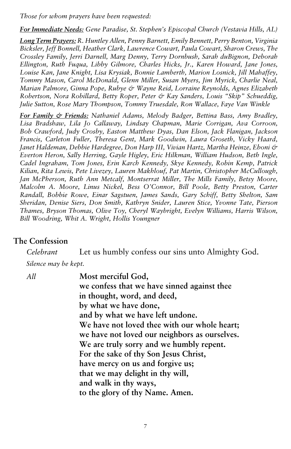*Those for whom prayers have been requested:* 

*For Immediate Needs: Gene Paradise, St. Stephen's Episcopal Church (Vestavia Hills, AL)*

*Long Term Prayers: R. Huntley Allen, Penny Barnett, Emily Bennett, Perry Benton, Virginia Bicksler, Jeff Bonnell, Heather Clark, Lawrence Cowart, Paula Cowart, Sharon Crews, The Crossley Family, Jerri Darnell, Marg Denny, Terry Dornbush, Sarah duBignon, Deborah Ellington, Ruth Fuqua, Libby Gilmore, Charles Hicks, Jr., Karen Howard, Jane Jones, Louise Kan, Jane Knight, Lisa Krysiak, Bonnie Lamberth, Marion Losnick, Jill Mahaffey, Tommy Mason, Carol McDonald, Glenn Miller, Susan Myers, Jim Myrick, Charlie Neal, Marian Palmore, Ginna Pope, Rubye & Wayne Reid, Lorraine Reynolds, Agnes Elizabeth Robertson, Nora Robillard, Betty Roper, Peter & Kay Sanders, Louis "Skip" Schueddig, Julie Sutton, Rose Mary Thompson, Tommy Truesdale, Ron Wallace, Faye Van Winkle*

*For Family & Friends: Nathaniel Adams, Melody Badger, Bettina Bass, Amy Bradley, Lisa Bradshaw, Lila Jo Callaway, Lindsay Chapman, Marie Corrigan, Ava Corroon, Bob Crawford, Judy Crosby, Easton Matthew Dyas, Dan Elson, Jack Flanigan, Jackson Francis, Carleton Fuller, Theresa Gent, Mark Goodwin, Laura Groseth, Vicky Haard, Janet Haldeman, Debbie Hardegree, Don Harp III, Vivian Hartz, Martha Heinze, Eboni & Everton Heron, Sally Herring, Gayle Higley, Eric Hilkman, William Hudson, Beth Ingle, Cadel Ingraham, Tom Jones, Erin Karch Kennedy, Skye Kennedy, Robin Kemp, Patrick Kilian, Rita Lewis, Pete Livezey, Lauren Makhlouf, Pat Martin, Christopher McCullough, Jan McPherson, Ruth Ann Metcalf, Montserrat Miller, The Mills Family, Betsy Moore, Malcolm A. Moore, Linus Nickel, Bess O'Connor, Bill Poole, Betty Preston, Carter Randall, Bobbie Rowe, Einar Sagstuen, James Sands, Gary Schiff, Betty Shelton, Sam Sheridan, Denise Siers, Don Smith, Kathryn Snider, Lauren Stice, Yvonne Tate, Pierson Thames, Bryson Thomas, Olive Toy, Cheryl Waybright, Evelyn Williams, Harris Wilson, Bill Woodring, Whit A. Wright, Hollis Youngner*

#### **The Confession**

*Celebrant* Let us humbly confess our sins unto Almighty God. *Silence may be kept.*

*All* **Most merciful God, we confess that we have sinned against thee in thought, word, and deed, by what we have done, and by what we have left undone. We have not loved thee with our whole heart; we have not loved our neighbors as ourselves. We are truly sorry and we humbly repent. For the sake of thy Son Jesus Christ, have mercy on us and forgive us; that we may delight in thy will, and walk in thy ways, to the glory of thy Name. Amen.**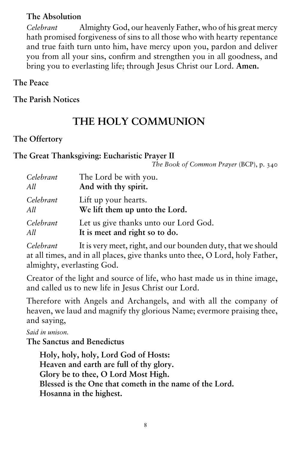#### **The Absolution**

*Celebrant* Almighty God, our heavenly Father, who of his great mercy hath promised forgiveness of sins to all those who with hearty repentance and true faith turn unto him, have mercy upon you, pardon and deliver you from all your sins, confirm and strengthen you in all goodness, and bring you to everlasting life; through Jesus Christ our Lord. **Amen.**

#### **The Peace**

**The Parish Notices**

# **THE HOLY COMMUNION**

#### **The Offertory**

#### **The Great Thanksgiving: Eucharistic Prayer II**

*The Book of Common Prayer* (BCP), p. 340

| Celebrant | The Lord be with you.                 |
|-----------|---------------------------------------|
| All       | And with thy spirit.                  |
| Celebrant | Lift up your hearts.                  |
| All       | We lift them up unto the Lord.        |
| Celebrant | Let us give thanks unto our Lord God. |
| All       | It is meet and right so to do.        |

*Celebrant* It is very meet, right, and our bounden duty, that we should at all times, and in all places, give thanks unto thee, O Lord, holy Father, almighty, everlasting God.

Creator of the light and source of life, who hast made us in thine image, and called us to new life in Jesus Christ our Lord.

Therefore with Angels and Archangels, and with all the company of heaven, we laud and magnify thy glorious Name; evermore praising thee, and saying,

*Said in unison.*

**The Sanctus and Benedictus**

**Holy, holy, holy, Lord God of Hosts: Heaven and earth are full of thy glory. Glory be to thee, O Lord Most High. Blessed is the One that cometh in the name of the Lord. Hosanna in the highest.**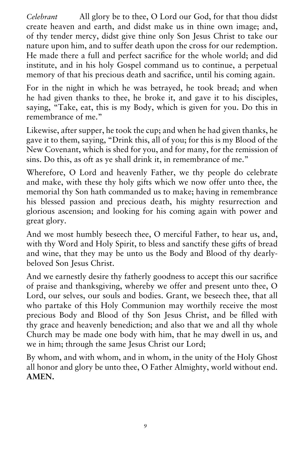*Celebrant* All glory be to thee, O Lord our God, for that thou didst create heaven and earth, and didst make us in thine own image; and, of thy tender mercy, didst give thine only Son Jesus Christ to take our nature upon him, and to suffer death upon the cross for our redemption. He made there a full and perfect sacrifice for the whole world; and did institute, and in his holy Gospel command us to continue, a perpetual memory of that his precious death and sacrifice, until his coming again.

For in the night in which he was betrayed, he took bread; and when he had given thanks to thee, he broke it, and gave it to his disciples, saying, "Take, eat, this is my Body, which is given for you. Do this in remembrance of me."

Likewise, after supper, he took the cup; and when he had given thanks, he gave it to them, saying, "Drink this, all of you; for this is my Blood of the New Covenant, which is shed for you, and for many, for the remission of sins. Do this, as oft as ye shall drink it, in remembrance of me."

Wherefore, O Lord and heavenly Father, we thy people do celebrate and make, with these thy holy gifts which we now offer unto thee, the memorial thy Son hath commanded us to make; having in remembrance his blessed passion and precious death, his mighty resurrection and glorious ascension; and looking for his coming again with power and great glory.

And we most humbly beseech thee, O merciful Father, to hear us, and, with thy Word and Holy Spirit, to bless and sanctify these gifts of bread and wine, that they may be unto us the Body and Blood of thy dearlybeloved Son Jesus Christ.

And we earnestly desire thy fatherly goodness to accept this our sacrifice of praise and thanksgiving, whereby we offer and present unto thee, O Lord, our selves, our souls and bodies. Grant, we beseech thee, that all who partake of this Holy Communion may worthily receive the most precious Body and Blood of thy Son Jesus Christ, and be filled with thy grace and heavenly benediction; and also that we and all thy whole Church may be made one body with him, that he may dwell in us, and we in him; through the same Jesus Christ our Lord;

By whom, and with whom, and in whom, in the unity of the Holy Ghost all honor and glory be unto thee, O Father Almighty, world without end. **AMEN.**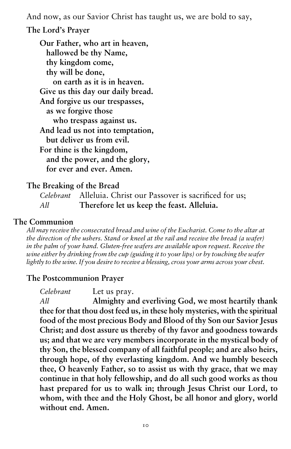And now, as our Savior Christ has taught us, we are bold to say,

#### **The Lord's Prayer**

**Our Father, who art in heaven, hallowed be thy Name, thy kingdom come, thy will be done, on earth as it is in heaven. Give us this day our daily bread. And forgive us our trespasses, as we forgive those who trespass against us. And lead us not into temptation, but deliver us from evil. For thine is the kingdom, and the power, and the glory, for ever and ever. Amen.**

#### **The Breaking of the Bread**

*Celebrant* Alleluia. Christ our Passover is sacrificed for us; *All* **Therefore let us keep the feast. Alleluia.** 

### **The Communion**

*All may receive the consecrated bread and wine of the Eucharist. Come to the altar at the direction of the ushers. Stand or kneel at the rail and receive the bread (a wafer) in the palm of your hand. Gluten-free wafers are available upon request. Receive the wine either by drinking from the cup (guiding it to your lips) or by touching the wafer lightly to the wine. If you desire to receive a blessing, cross your arms across your chest.*

#### **The Postcommunion Prayer**

*Celebrant* Let us pray. *All* **Almighty and everliving God, we most heartily thank thee for that thou dost feed us, in these holy mysteries, with the spiritual food of the most precious Body and Blood of thy Son our Savior Jesus Christ; and dost assure us thereby of thy favor and goodness towards us; and that we are very members incorporate in the mystical body of thy Son, the blessed company of all faithful people; and are also heirs, through hope, of thy everlasting kingdom. And we humbly beseech thee, O heavenly Father, so to assist us with thy grace, that we may continue in that holy fellowship, and do all such good works as thou**  hast prepared for us to walk in; through Jesus Christ our Lord, to **whom, with thee and the Holy Ghost, be all honor and glory, world without end. Amen.**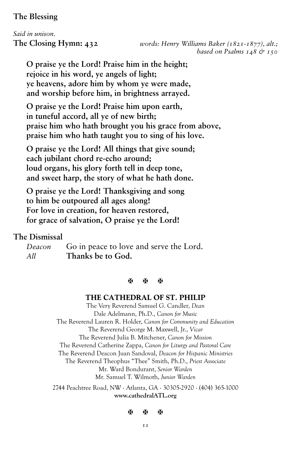#### **The Blessing**

# *Said in unison.*

**The Closing Hymn: 432** *words: Henry Williams Baker (1821-1877), alt.; based on Psalms 148 & 150*

**O praise ye the Lord! Praise him in the height; rejoice in his word, ye angels of light; ye heavens, adore him by whom ye were made, and worship before him, in brightness arrayed.**

**O praise ye the Lord! Praise him upon earth, in tuneful accord, all ye of new birth; praise him who hath brought you his grace from above, praise him who hath taught you to sing of his love.**

**O praise ye the Lord! All things that give sound; each jubilant chord re-echo around; loud organs, his glory forth tell in deep tone, and sweet harp, the story of what he hath done.**

**O praise ye the Lord! Thanksgiving and song to him be outpoured all ages along! For love in creation, for heaven restored, for grace of salvation, O praise ye the Lord!**

#### **The Dismissal**

*Deacon* Go in peace to love and serve the Lord. *All* **Thanks be to God.** 

#### **A A A**

#### **THE CATHEDRAL OF ST. PHILIP**

The Very Reverend Samuel G. Candler, *Dean* Dale Adelmann, Ph.D., *Canon for Music*  The Reverend Lauren R. Holder, *Canon for Community and Education* The Reverend George M. Maxwell, Jr., *Vicar* The Reverend Julia B. Mitchener, *Canon for Mission* The Reverend Catherine Zappa, *Canon for Liturgy and Pastoral Care* The Reverend Deacon Juan Sandoval, *Deacon for Hispanic Ministries* The Reverend Theophus "Thee" Smith, Ph.D., *Priest Associate* Mr. Ward Bondurant, *Senior Warden* Mr. Samuel T. Wilmoth, *Junior Warden* 2744 Peachtree Road, NW ∙ Atlanta, GA ∙ 30305-2920 ∙ (404) 365-1000

#### **www.cathedralATL.org**

#### **XXXX**

**TT**